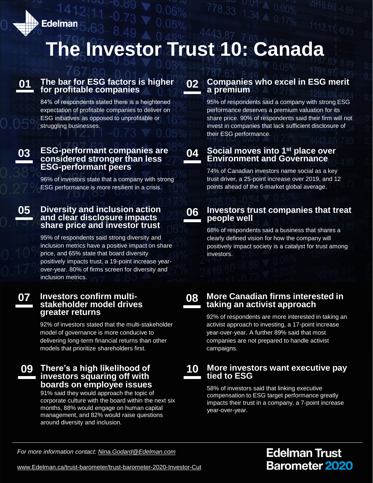**Edelman** 

# **The Investor Trust 10: Canada**

# **01**

#### **The bar for ESG factors is higher for profitable companies**

84% of respondents stated there is a heightened expectation of profitable companies to deliver on ESG initiatives as opposed to unprofitable or struggling businesses.

**03**

#### **ESG-performant companies are considered stronger than less ESG-performant peers**

96% of investors state that a company with strong ESG performance is more resilient in a crisis.

**05 Diversity and inclusion action and clear disclosure impacts share price and investor trust**

> 95% of respondents said strong diversity and inclusion metrics have a positive impact on share price, and 65% state that board diversity positively impacts trust, a 19-point increase yearover-year. 80% of firms screen for diversity and inclusion metrics.

#### **Investors confirm multistakeholder model drives greater returns 07**

92% of investors stated that the multi-stakeholder model of governance is more conducive to delivering long-term financial returns than other models that prioritize shareholders first.

#### **There's a high likelihood of investors squaring off with boards on employee issues 09**

91% said they would approach the topic of corporate culture with the board within the next six months, 88% would engage on human capital management, and 82% would raise questions around diversity and inclusion.

### **02 Companies who excel in ESG merit a premium**

95% of respondents said a company with strong ESG performance deserves a premium valuation for its share price. 90% of respondents said their firm will not invest in companies that lack sufficient disclosure of their ESG performance.

#### **Social moves into 1st place over Environment and Governance 04**

74% of Canadian investors name social as a key trust driver, a 25-point increase over 2019, and 12 points ahead of the 6-market global average.

**06**

#### **Investors trust companies that treat people well**

68% of respondents said a business that shares a clearly defined vision for how the company will positively impact society is a catalyst for trust among investors.

**08**

#### **More Canadian firms interested in taking an activist approach**

92% of respondents are more interested in taking an activist approach to investing, a 17-point increase year-over-year. A further 89% said that most companies are not prepared to handle activist campaigns.

#### **More investors want executive pay tied to ESG 10**

58% of investors said that linking executive compensation to ESG target performance greatly impacts their trust in a company, a 7-point increase year-over-year.

*For more information contact: [Nina.Godard@Edelman.com](mailto:Nina.Godard@Edelman.com)*

**Edelman Trust Barometer 2020** 

[www.Edelman.ca/trust-barometer/trust-barometer-2020-Investor-Cut](https://www.edelman.ca/trust-barometer/trust-barometer-2020-Investor-Cut)